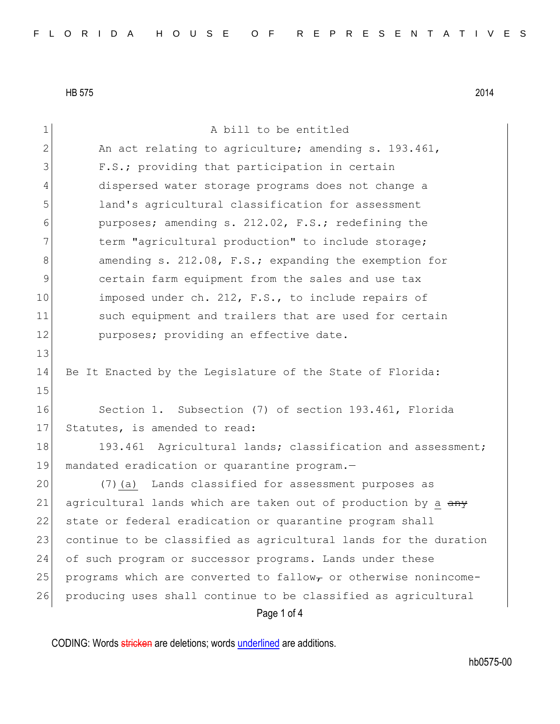Page 1 of 4 1 a bill to be entitled 2 An act relating to agriculture; amending s. 193.461, 3 F.S.; providing that participation in certain 4 dispersed water storage programs does not change a 5 land's agricultural classification for assessment 6 purposes; amending s. 212.02, F.S.; redefining the 7 1 12 term "agricultural production" to include storage; 8 8 amending s. 212.08, F.S.; expanding the exemption for 9 certain farm equipment from the sales and use tax 10 imposed under ch. 212, F.S., to include repairs of 11 such equipment and trailers that are used for certain 12 purposes; providing an effective date. 13 14 Be It Enacted by the Legislature of the State of Florida: 15 16 Section 1. Subsection (7) of section 193.461, Florida 17 Statutes, is amended to read: 18 193.461 Agricultural lands; classification and assessment; 19 mandated eradication or quarantine program.— 20 (7)(a) Lands classified for assessment purposes as 21 agricultural lands which are taken out of production by a  $\frac{any}{x}$ 22 state or federal eradication or quarantine program shall 23 continue to be classified as agricultural lands for the duration 24 of such program or successor programs. Lands under these 25 programs which are converted to fallow<sub>r</sub> or otherwise nonincome-26 producing uses shall continue to be classified as agricultural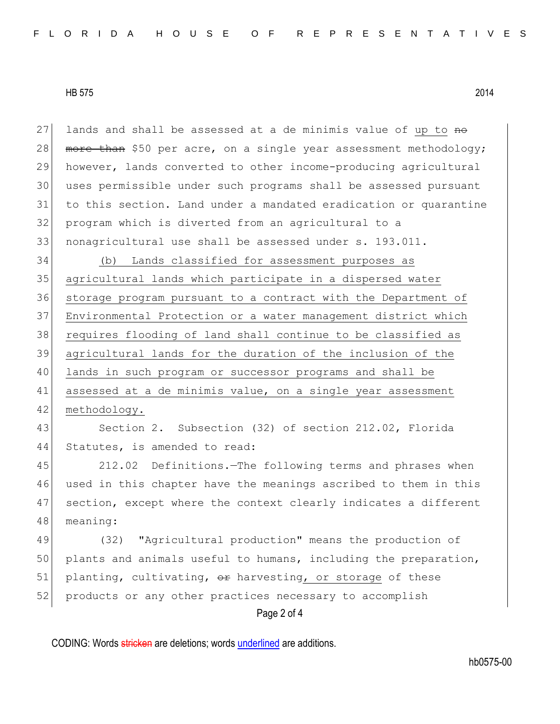27 lands and shall be assessed at a de minimis value of up to  $m\Theta$ 28 more than \$50 per acre, on a single year assessment methodology; however, lands converted to other income-producing agricultural uses permissible under such programs shall be assessed pursuant to this section. Land under a mandated eradication or quarantine program which is diverted from an agricultural to a nonagricultural use shall be assessed under s. 193.011.

 (b) Lands classified for assessment purposes as agricultural lands which participate in a dispersed water storage program pursuant to a contract with the Department of Environmental Protection or a water management district which requires flooding of land shall continue to be classified as agricultural lands for the duration of the inclusion of the 40 lands in such program or successor programs and shall be 41 assessed at a de minimis value, on a single year assessment 42 methodology.

43 Section 2. Subsection (32) of section 212.02, Florida 44 Statutes, is amended to read:

 212.02 Definitions.—The following terms and phrases when used in this chapter have the meanings ascribed to them in this section, except where the context clearly indicates a different 48 meaning:

Page 2 of 4 49 (32) "Agricultural production" means the production of 50 plants and animals useful to humans, including the preparation, 51 planting, cultivating,  $\Theta$  harvesting, or storage of these 52 products or any other practices necessary to accomplish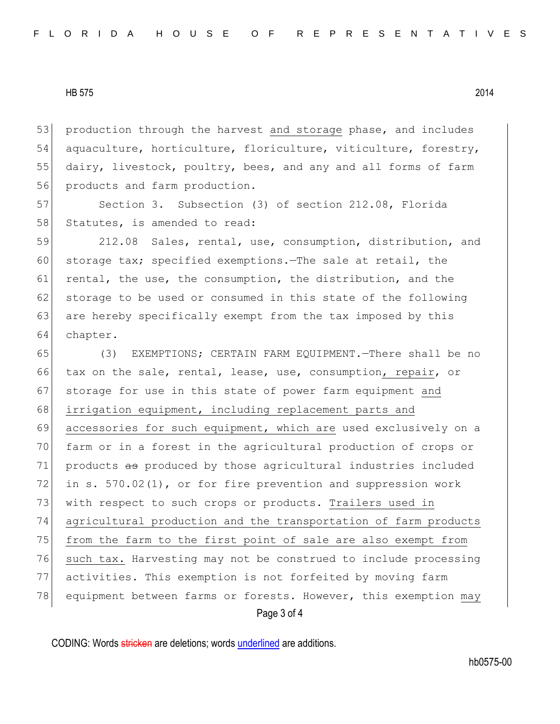53 production through the harvest and storage phase, and includes 54 aquaculture, horticulture, floriculture, viticulture, forestry, 55 dairy, livestock, poultry, bees, and any and all forms of farm 56 products and farm production.

57 Section 3. Subsection (3) of section 212.08, Florida 58 Statutes, is amended to read:

59 212.08 Sales, rental, use, consumption, distribution, and 60 storage tax; specified exemptions. The sale at retail, the 61 rental, the use, the consumption, the distribution, and the 62 storage to be used or consumed in this state of the following 63 are hereby specifically exempt from the tax imposed by this 64 chapter.

Page 3 of 4 65 (3) EXEMPTIONS; CERTAIN FARM EQUIPMENT.—There shall be no 66 tax on the sale, rental, lease, use, consumption, repair, or 67 storage for use in this state of power farm equipment and 68 irrigation equipment, including replacement parts and 69 accessories for such equipment, which are used exclusively on a 70 farm or in a forest in the agricultural production of crops or 71 products as produced by those agricultural industries included 72 in s. 570.02(1), or for fire prevention and suppression work 73 with respect to such crops or products. Trailers used in 74 agricultural production and the transportation of farm products 75 from the farm to the first point of sale are also exempt from 76 such tax. Harvesting may not be construed to include processing 77 activities. This exemption is not forfeited by moving farm 78 equipment between farms or forests. However, this exemption may